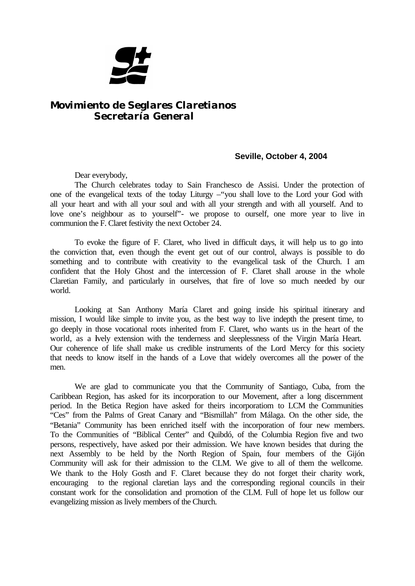

## *Movimiento de Seglares Claretianos Secretaría General*

## **Seville, October 4, 2004**

Dear everybody,

The Church celebrates today to Sain Franchesco de Assisi. Under the protection of one of the evangelical texts of the today Liturgy –"you shall love to the Lord your God with all your heart and with all your soul and with all your strength and with all yourself. And to love one's neighbour as to yourself"- we propose to ourself, one more year to live in communion the F. Claret festivity the next October 24.

To evoke the figure of F. Claret, who lived in difficult days, it will help us to go into the conviction that, even though the event get out of our control, always is possible to do something and to contribute with creativity to the evangelical task of the Church. I am confident that the Holy Ghost and the intercession of F. Claret shall arouse in the whole Claretian Family, and particularly in ourselves, that fire of love so much needed by our world.

Looking at San Anthony María Claret and going inside his spiritual itinerary and mission, I would like simple to invite you, as the best way to live indepth the present time, to go deeply in those vocational roots inherited from F. Claret, who wants us in the heart of the world, as a lvely extension with the tenderness and sleeplessness of the Virgin María Heart. Our coherence of life shall make us credible instruments of the Lord Mercy for this society that needs to know itself in the hands of a Love that widely overcomes all the power of the men.

We are glad to communicate you that the Community of Santiago, Cuba, from the Caribbean Region, has asked for its incorporation to our Movement, after a long discernment period. In the Betica Region have asked for theirs incorporatiom to LCM the Communities "Ces" from the Palms of Great Canary and "Bismillah" from Málaga. On the other side, the "Betania" Community has been enriched itself with the incorporation of four new members. To the Communities of "Biblical Center" and Quibdó, of the Columbia Region five and two persons, respectively, have asked por their admission. We have known besides that during the next Assembly to be held by the North Region of Spain, four members of the Gijón Community will ask for their admission to the CLM. We give to all of them the wellcome. We thank to the Holy Gosth and F. Claret because they do not forget their charity work, encouraging to the regional claretian lays and the corresponding regional councils in their constant work for the consolidation and promotion of the CLM. Full of hope let us follow our evangelizing mission as lively members of the Church.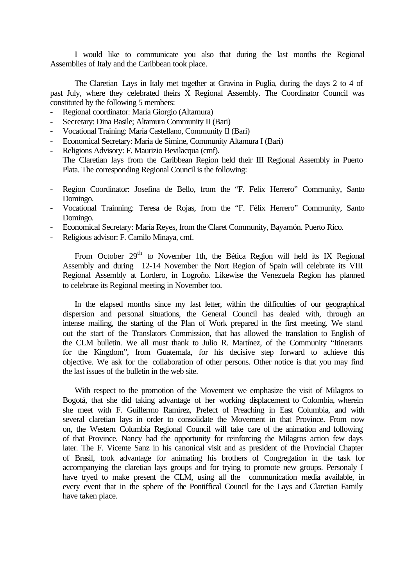I would like to communicate you also that during the last months the Regional Assemblies of Italy and the Caribbean took place.

The Claretian Lays in Italy met together at Gravina in Puglia, during the days 2 to 4 of past July, where they celebrated theirs X Regional Assembly. The Coordinator Council was constituted by the following 5 members:

- Regional coordinator: María Giorgio (Altamura)
- Secretary: Dina Basile; Altamura Community II (Bari)
- Vocational Training: María Castellano, Community II (Bari)
- Economical Secretary: María de Simine, Community Altamura I (Bari)
- Religions Advisory: F. Maurizio Bevilacqua (cmf).

The Claretian lays from the Caribbean Region held their III Regional Assembly in Puerto Plata. The corresponding Regional Council is the following:

- Region Coordinator: Josefina de Bello, from the "F. Felix Herrero" Community, Santo Domingo.
- Vocational Trainning: Teresa de Rojas, from the "F. Félix Herrero" Community, Santo Domingo.
- Economical Secretary: María Reyes, from the Claret Community, Bayamón. Puerto Rico.
- Religious advisor: F. Camilo Minaya, cmf.

From October 29<sup>th</sup> to November 1th, the Bética Region will held its IX Regional Assembly and during 12-14 November the Nort Region of Spain will celebrate its VIII Regional Assembly at Lordero, in Logroño. Likewise the Venezuela Region has planned to celebrate its Regional meeting in November too.

In the elapsed months since my last letter, within the difficulties of our geographical dispersion and personal situations, the General Council has dealed with, through an intense mailing, the starting of the Plan of Work prepared in the first meeting. We stand out the start of the Translators Commission, that has allowed the translation to English of the CLM bulletin. We all must thank to Julio R. Martínez, of the Community "Itinerants for the Kingdom", from Guatemala, for his decisive step forward to achieve this objective. We ask for the collaboration of other persons. Other notice is that you may find the last issues of the bulletin in the web site.

With respect to the promotion of the Movement we emphasize the visit of Milagros to Bogotá, that she did taking advantage of her working displacement to Colombia, wherein she meet with F. Guillermo Ramírez, Prefect of Preaching in East Columbia, and with several claretian lays in order to consolidate the Movement in that Province. From now on, the Western Columbia Regional Council will take care of the animation and following of that Province. Nancy had the opportunity for reinforcing the Milagros action few days later. The F. Vicente Sanz in his canonical visit and as president of the Provincial Chapter of Brasil, took advantage for animating his brothers of Congregation in the task for accompanying the claretian lays groups and for trying to promote new groups. Personaly I have tryed to make present the CLM, using all the communication media available, in every event that in the sphere of the Pontiffical Council for the Lays and Claretian Family have taken place.